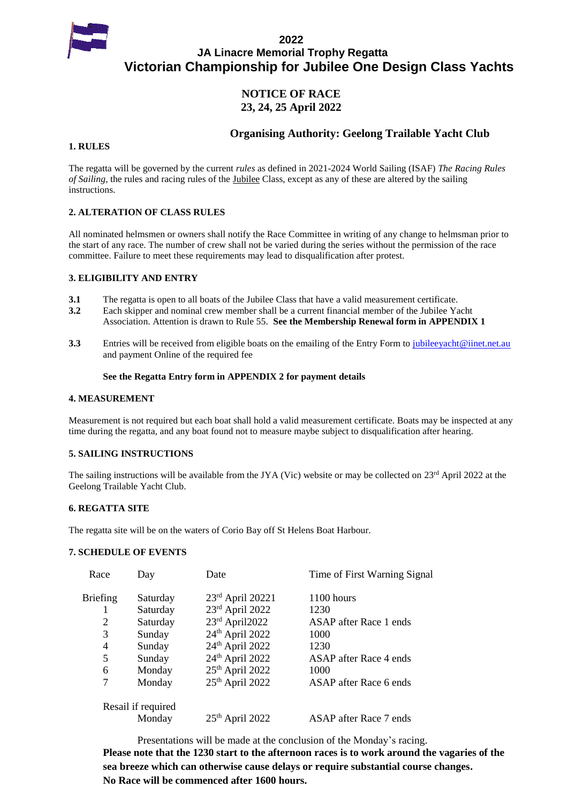

### **2022 JA Linacre Memorial Trophy Regatta Victorian Championship for Jubilee One Design Class Yachts**

### **NOTICE OF RACE 23, 24, 25 April 2022**

### **Organising Authority: Geelong Trailable Yacht Club**

### **1. RULES**

The regatta will be governed by the current *rules* as defined in 2021-2024 World Sailing (ISAF) *The Racing Rules of Sailing*, the rules and racing rules of the <u>Jubilee</u> Class, except as any of these are altered by the sailing instructions.

### **2. ALTERATION OF CLASS RULES**

All nominated helmsmen or owners shall notify the Race Committee in writing of any change to helmsman prior to the start of any race. The number of crew shall not be varied during the series without the permission of the race committee. Failure to meet these requirements may lead to disqualification after protest.

### **3. ELIGIBILITY AND ENTRY**

- **3.1** The regatta is open to all boats of the Jubilee Class that have a valid measurement certificate.
- **3.2** Each skipper and nominal crew member shall be a current financial member of the Jubilee Yacht Association. Attention is drawn to Rule 55. **See the Membership Renewal form in APPENDIX 1**
- **3.3** Entries will be received from eligible boats on the emailing of the Entry Form t[o jubileeyacht@iinet.net.au](mailto:jubileeyacht@iinet.net.au) and payment Online of the required fee

### **See the Regatta Entry form in APPENDIX 2 for payment details**

#### **4. MEASUREMENT**

Measurement is not required but each boat shall hold a valid measurement certificate. Boats may be inspected at any time during the regatta, and any boat found not to measure maybe subject to disqualification after hearing.

### **5. SAILING INSTRUCTIONS**

The sailing instructions will be available from the JYA (Vic) website or may be collected on 23<sup>rd</sup> April 2022 at the Geelong Trailable Yacht Club.

### **6. REGATTA SITE**

The regatta site will be on the waters of Corio Bay off St Helens Boat Harbour.

### **7. SCHEDULE OF EVENTS**

| Race     | Day                | Date                        | Time of First Warning Signal |
|----------|--------------------|-----------------------------|------------------------------|
| Briefing | Saturday           | 23rd April 20221            | 1100 hours                   |
| 1        | Saturday           | 23rd April 2022             | 1230                         |
| 2        | Saturday           | $23rd$ April2022            | ASAP after Race 1 ends       |
| 3        | Sunday             | 24th April 2022             | 1000                         |
| 4        | Sunday             | 24 <sup>th</sup> April 2022 | 1230                         |
| 5        | Sunday             | 24 <sup>th</sup> April 2022 | ASAP after Race 4 ends       |
| 6        | Monday             | 25 <sup>th</sup> April 2022 | 1000                         |
| 7        | Monday             | 25th April 2022             | ASAP after Race 6 ends       |
|          | Resail if required |                             |                              |
|          | Monday             | $25th$ April 2022           | ASAP after Race 7 ends       |

Presentations will be made at the conclusion of the Monday's racing. **Please note that the 1230 start to the afternoon races is to work around the vagaries of the sea breeze which can otherwise cause delays or require substantial course changes. No Race will be commenced after 1600 hours.**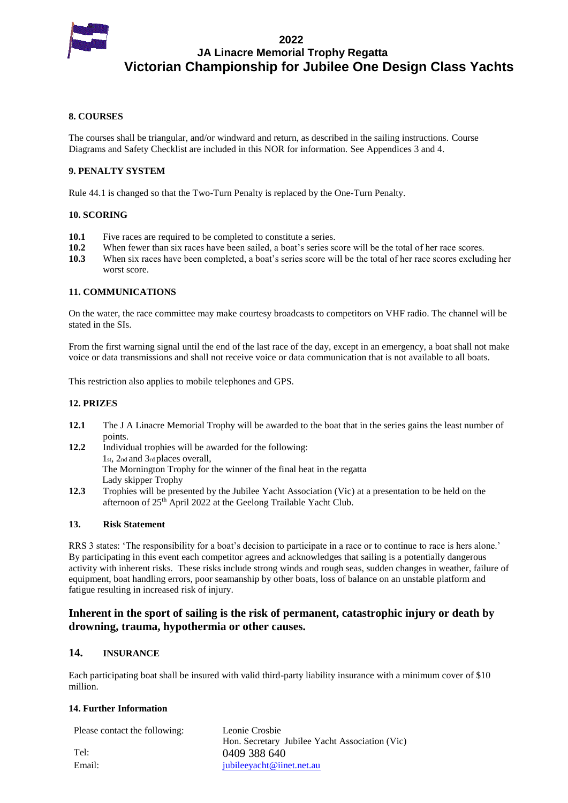

**2022 JA Linacre Memorial Trophy Regatta Victorian Championship for Jubilee One Design Class Yachts**

#### **8. COURSES**

The courses shall be triangular, and/or windward and return, as described in the sailing instructions. Course Diagrams and Safety Checklist are included in this NOR for information. See Appendices 3 and 4.

### **9. PENALTY SYSTEM**

Rule 44.1 is changed so that the Two-Turn Penalty is replaced by the One-Turn Penalty.

#### **10. SCORING**

- 10.1 Five races are required to be completed to constitute a series.
- **10.2** When fewer than six races have been sailed, a boat's series score will be the total of her race scores.
- **10.3** When six races have been completed, a boat's series score will be the total of her race scores excluding her worst score.

### **11. COMMUNICATIONS**

On the water, the race committee may make courtesy broadcasts to competitors on VHF radio. The channel will be stated in the SIs.

From the first warning signal until the end of the last race of the day, except in an emergency, a boat shall not make voice or data transmissions and shall not receive voice or data communication that is not available to all boats.

This restriction also applies to mobile telephones and GPS.

#### **12. PRIZES**

- **12.1** The J A Linacre Memorial Trophy will be awarded to the boat that in the series gains the least number of points.
- **12.2** Individual trophies will be awarded for the following: 1st, 2nd and 3rd places overall, The Mornington Trophy for the winner of the final heat in the regatta Lady skipper Trophy
- **12.3** Trophies will be presented by the Jubilee Yacht Association (Vic) at a presentation to be held on the afternoon of 25<sup>th</sup> April 2022 at the Geelong Trailable Yacht Club.

#### **13. Risk Statement**

RRS 3 states: 'The responsibility for a boat's decision to participate in a race or to continue to race is hers alone.' By participating in this event each competitor agrees and acknowledges that sailing is a potentially dangerous activity with inherent risks. These risks include strong winds and rough seas, sudden changes in weather, failure of equipment, boat handling errors, poor seamanship by other boats, loss of balance on an unstable platform and fatigue resulting in increased risk of injury.

### **Inherent in the sport of sailing is the risk of permanent, catastrophic injury or death by drowning, trauma, hypothermia or other causes.**

### **14. INSURANCE**

Each participating boat shall be insured with valid third-party liability insurance with a minimum cover of \$10 million.

#### **14. Further Information**

| Please contact the following: | Leonie Crosbie<br>Hon. Secretary Jubilee Yacht Association (Vic) |
|-------------------------------|------------------------------------------------------------------|
| Tel:                          | 0409 388 640                                                     |
| Email:                        | jubileeyacht@iinet.net.au                                        |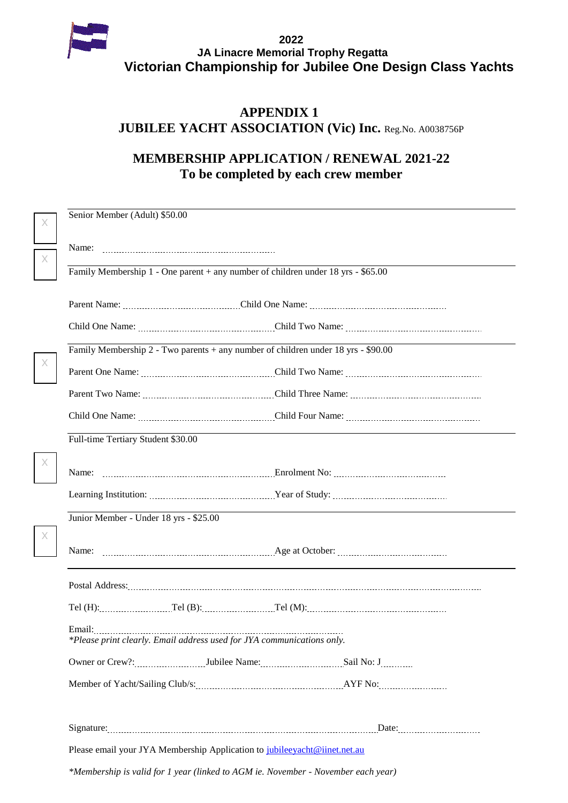

# **APPENDIX 1 JUBILEE YACHT ASSOCIATION (Vic) Inc. Reg.No. A0038756P**

# **MEMBERSHIP APPLICATION / RENEWAL 2021-22 To be completed by each crew member**

| X        | Senior Member (Adult) \$50.00                                                      |                                                                                                                |  |
|----------|------------------------------------------------------------------------------------|----------------------------------------------------------------------------------------------------------------|--|
|          | Name:                                                                              |                                                                                                                |  |
| X        |                                                                                    |                                                                                                                |  |
|          | Family Membership $1 -$ One parent + any number of children under 18 yrs - \$65.00 |                                                                                                                |  |
|          |                                                                                    |                                                                                                                |  |
|          |                                                                                    |                                                                                                                |  |
|          | Family Membership 2 - Two parents + any number of children under 18 yrs - \$90.00  |                                                                                                                |  |
| X        |                                                                                    |                                                                                                                |  |
|          |                                                                                    |                                                                                                                |  |
|          |                                                                                    |                                                                                                                |  |
|          | Full-time Tertiary Student \$30.00                                                 |                                                                                                                |  |
| X        |                                                                                    |                                                                                                                |  |
|          |                                                                                    |                                                                                                                |  |
|          | Junior Member - Under 18 yrs - \$25.00                                             |                                                                                                                |  |
| $\times$ |                                                                                    |                                                                                                                |  |
|          |                                                                                    | Postal Address: Marian Marian Marian Marian Marian Marian Marian Marian Marian Marian Marian Marian Marian Mar |  |
|          |                                                                                    |                                                                                                                |  |
|          | Email:<br>*Please print clearly. Email address used for JYA communications only.   |                                                                                                                |  |
|          |                                                                                    |                                                                                                                |  |
|          |                                                                                    |                                                                                                                |  |
|          |                                                                                    |                                                                                                                |  |
|          |                                                                                    |                                                                                                                |  |
|          | Please email your JYA Membership Application to jubileeyacht@iinet.net.au          |                                                                                                                |  |
|          | *Membership is valid for 1 year (linked to AGM ie. November - November each year)  |                                                                                                                |  |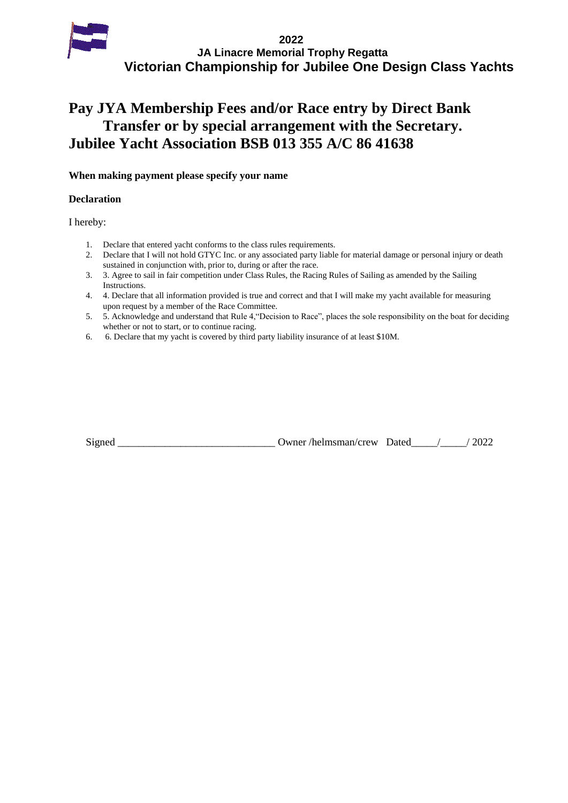

# **Pay JYA Membership Fees and/or Race entry by Direct Bank Transfer or by special arrangement with the Secretary. Jubilee Yacht Association BSB 013 355 A/C 86 41638**

### **When making payment please specify your name**

### **Declaration**

I hereby:

- 1. Declare that entered yacht conforms to the class rules requirements.
- 2. Declare that I will not hold GTYC Inc. or any associated party liable for material damage or personal injury or death sustained in conjunction with, prior to, during or after the race.
- 3. 3. Agree to sail in fair competition under Class Rules, the Racing Rules of Sailing as amended by the Sailing Instructions.
- 4. 4. Declare that all information provided is true and correct and that I will make my yacht available for measuring upon request by a member of the Race Committee.
- 5. 5. Acknowledge and understand that Rule 4,"Decision to Race", places the sole responsibility on the boat for deciding whether or not to start, or to continue racing.
- 6. 6. Declare that my yacht is covered by third party liability insurance of at least \$10M.

| Signed | Owner/helmsman/crew Dated | 2022 |
|--------|---------------------------|------|
|        |                           |      |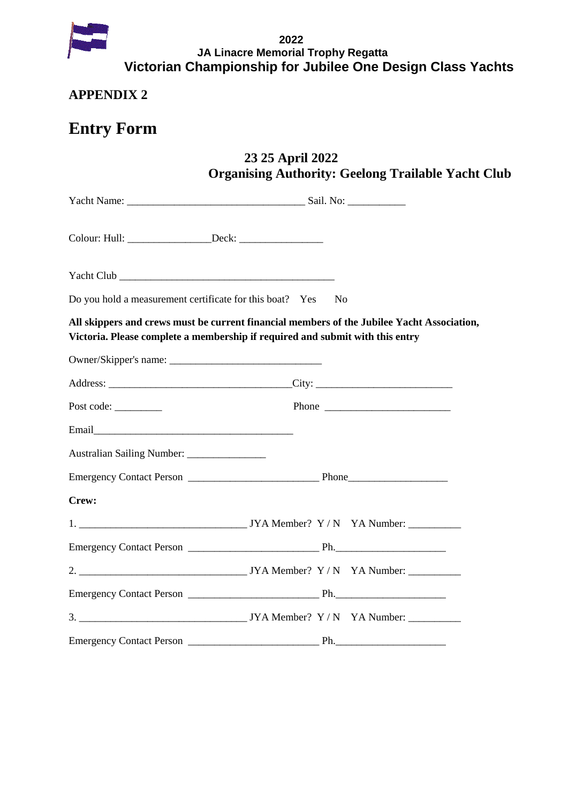

# **APPENDIX 2**

# **Entry Form**

# **23 25 April 2022 Organising Authority: Geelong Trailable Yacht Club**

| Do you hold a measurement certificate for this boat? Yes                                                                                                                    | N <sub>0</sub> |
|-----------------------------------------------------------------------------------------------------------------------------------------------------------------------------|----------------|
| All skippers and crews must be current financial members of the Jubilee Yacht Association,<br>Victoria. Please complete a membership if required and submit with this entry |                |
|                                                                                                                                                                             |                |
|                                                                                                                                                                             |                |
| Post code:                                                                                                                                                                  |                |
|                                                                                                                                                                             |                |
| Australian Sailing Number: ________________                                                                                                                                 |                |
|                                                                                                                                                                             |                |
| Crew:                                                                                                                                                                       |                |
|                                                                                                                                                                             |                |
|                                                                                                                                                                             |                |
|                                                                                                                                                                             |                |
|                                                                                                                                                                             |                |
|                                                                                                                                                                             |                |
|                                                                                                                                                                             |                |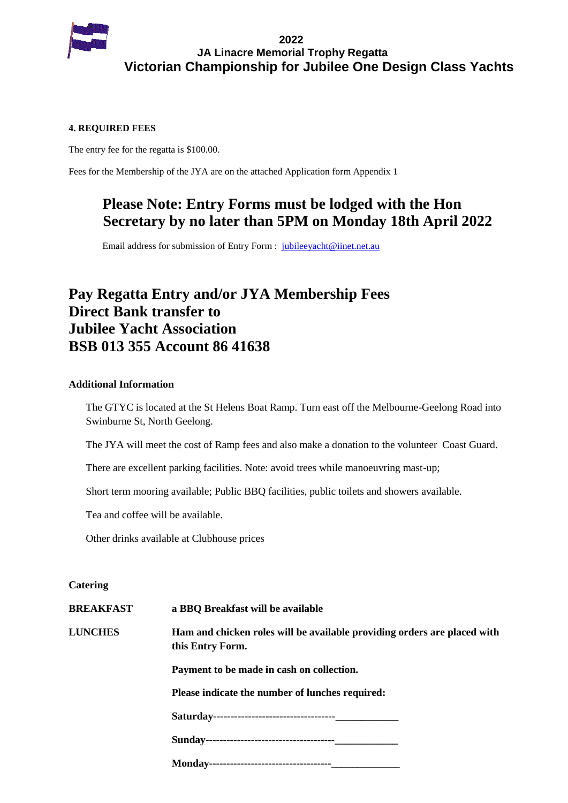

### **4. REQUIRED FEES**

The entry fee for the regatta is \$100.00.

Fees for the Membership of the JYA are on the attached Application form Appendix 1

# **Please Note: Entry Forms must be lodged with the Hon Secretary by no later than 5PM on Monday 18th April 2022**

Email address for submission of Entry Form : [jubileeyacht@iinet.net.au](mailto:jubileeyacht@iinet.net.au)

# **Pay Regatta Entry and/or JYA Membership Fees Direct Bank transfer to Jubilee Yacht Association BSB 013 355 Account 86 41638**

### **Additional Information**

The GTYC is located at the St Helens Boat Ramp. Turn east off the Melbourne-Geelong Road into Swinburne St, North Geelong.

The JYA will meet the cost of Ramp fees and also make a donation to the volunteer Coast Guard.

There are excellent parking facilities. Note: avoid trees while manoeuvring mast-up;

Short term mooring available; Public BBQ facilities, public toilets and showers available.

Tea and coffee will be available.

Other drinks available at Clubhouse prices

### **Catering**

**BREAKFAST a BBQ Breakfast will be available LUNCHES Ham and chicken roles will be available providing orders are placed with this Entry Form. Payment to be made in cash on collection. Please indicate the number of lunches required: Saturday-----------------------------------\_\_\_\_\_\_\_\_\_\_\_\_ Sunday-------------------------------------\_\_\_\_\_\_\_\_\_\_\_\_**

**Monday-----------------------------------\_\_\_\_\_\_\_\_\_\_\_\_\_**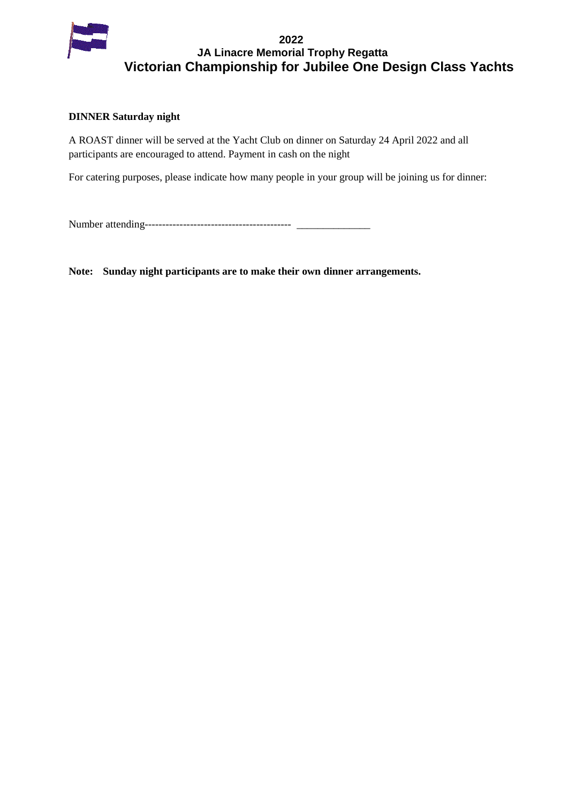

### **DINNER Saturday night**

A ROAST dinner will be served at the Yacht Club on dinner on Saturday 24 April 2022 and all participants are encouraged to attend. Payment in cash on the night

For catering purposes, please indicate how many people in your group will be joining us for dinner:

Number attending------------------------------------------ \_\_\_\_\_\_\_\_\_\_\_\_\_\_

**Note: Sunday night participants are to make their own dinner arrangements.**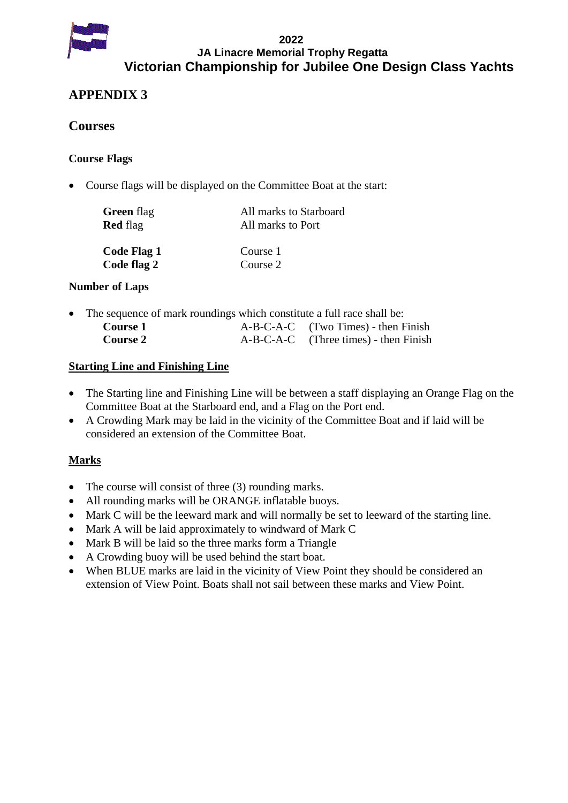

### **2022 JA Linacre Memorial Trophy Regatta Victorian Championship for Jubilee One Design Class Yachts**

# **APPENDIX 3**

## **Courses**

### **Course Flags**

Course flags will be displayed on the Committee Boat at the start:

| <b>Green</b> flag | All marks to Starboard |  |
|-------------------|------------------------|--|
| <b>Red</b> flag   | All marks to Port      |  |
| Code Flag 1       | Course 1               |  |
| Code flag 2       | Course 2               |  |

### **Number of Laps**

| • The sequence of mark roundings which constitute a full race shall be: |  |                                         |  |
|-------------------------------------------------------------------------|--|-----------------------------------------|--|
| Course 1                                                                |  | $A-B-C-A-C$ (Two Times) - then Finish   |  |
| <b>Course 2</b>                                                         |  | $A-B-C-A-C$ (Three times) - then Finish |  |

### **Starting Line and Finishing Line**

- The Starting line and Finishing Line will be between a staff displaying an Orange Flag on the Committee Boat at the Starboard end, and a Flag on the Port end.
- A Crowding Mark may be laid in the vicinity of the Committee Boat and if laid will be considered an extension of the Committee Boat.

## **Marks**

- The course will consist of three (3) rounding marks.
- All rounding marks will be ORANGE inflatable buoys.
- Mark C will be the leeward mark and will normally be set to leeward of the starting line.
- Mark A will be laid approximately to windward of Mark C
- Mark B will be laid so the three marks form a Triangle
- A Crowding buoy will be used behind the start boat.
- When BLUE marks are laid in the vicinity of View Point they should be considered an extension of View Point. Boats shall not sail between these marks and View Point.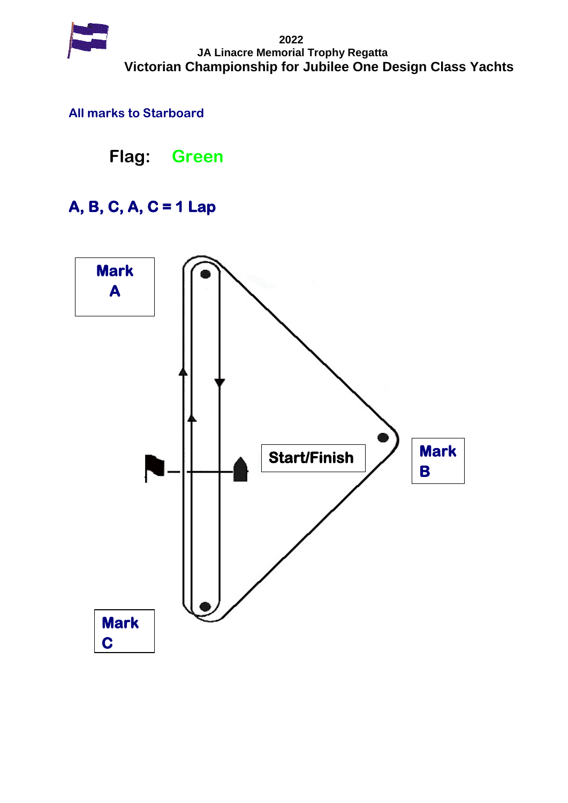

# **All marks to Starboard**

**Flag: Green**

# **A, B, C, A, C = 1 Lap**

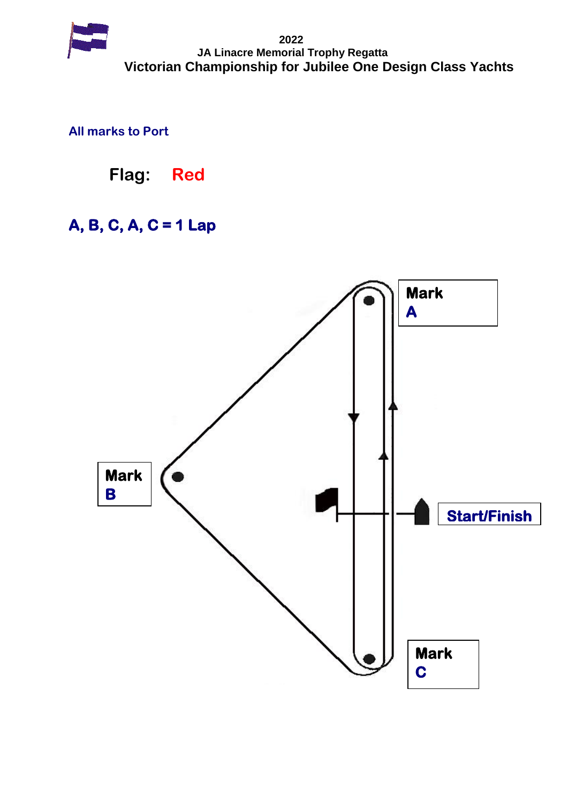

**All marks to Port**

**Flag: Red**

# **A, B, C, A, C = 1 Lap**